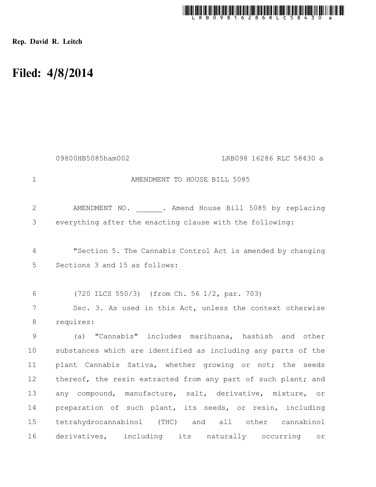

Rep. David R. Leitch

## Filed: 4/8/2014

|               | 09800HB5085ham002<br>LRB098 16286 RLC 58430 a                 |
|---------------|---------------------------------------------------------------|
| $\mathbf 1$   | AMENDMENT TO HOUSE BILL 5085                                  |
| $\mathbf{2}$  | AMENDMENT NO. . Amend House Bill 5085 by replacing            |
| 3             | everything after the enacting clause with the following:      |
| 4             | "Section 5. The Cannabis Control Act is amended by changing   |
| 5             | Sections 3 and 15 as follows:                                 |
| 6             | (720 ILCS 550/3) (from Ch. 56 1/2, par. 703)                  |
| 7             | Sec. 3. As used in this Act, unless the context otherwise     |
| $8\,$         | requires:                                                     |
| $\mathcal{G}$ | (a) "Cannabis" includes marihuana, hashish and other          |
| 10            | substances which are identified as including any parts of the |
| 11            | plant Cannabis Sativa, whether growing or not; the seeds      |
| 12            | thereof, the resin extracted from any part of such plant; and |
| 13            | any compound, manufacture, salt, derivative, mixture, or      |
| 14            | preparation of such plant, its seeds, or resin, including     |
| 15            | tetrahydrocannabinol (THC) and all other cannabinol           |
| 16            | derivatives, including its naturally occurring or             |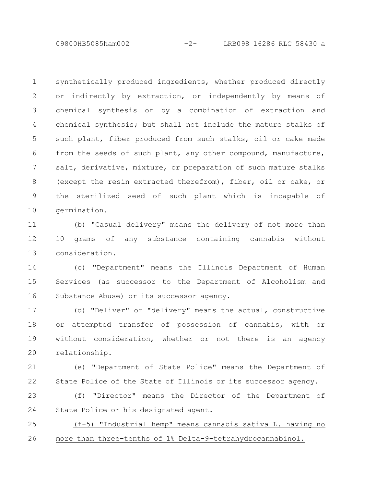09800HB5085ham002 -2- LRB098 16286 RLC 58430 a

synthetically produced ingredients, whether produced directly or indirectly by extraction, or independently by means of chemical synthesis or by a combination of extraction and chemical synthesis; but shall not include the mature stalks of such plant, fiber produced from such stalks, oil or cake made from the seeds of such plant, any other compound, manufacture, salt, derivative, mixture, or preparation of such mature stalks (except the resin extracted therefrom), fiber, oil or cake, or the sterilized seed of such plant which is incapable of germination. 1 2 3 4 5 6 7 8 9 10

(b) "Casual delivery" means the delivery of not more than 10 grams of any substance containing cannabis without consideration. 11 12 13

(c) "Department" means the Illinois Department of Human Services (as successor to the Department of Alcoholism and Substance Abuse) or its successor agency. 14 15 16

(d) "Deliver" or "delivery" means the actual, constructive or attempted transfer of possession of cannabis, with or without consideration, whether or not there is an agency relationship. 17 18 19 20

(e) "Department of State Police" means the Department of State Police of the State of Illinois or its successor agency. 21 22

(f) "Director" means the Director of the Department of State Police or his designated agent. 23 24

(f-5) "Industrial hemp" means cannabis sativa L. having no more than three-tenths of 1% Delta-9-tetrahydrocannabinol. 25 26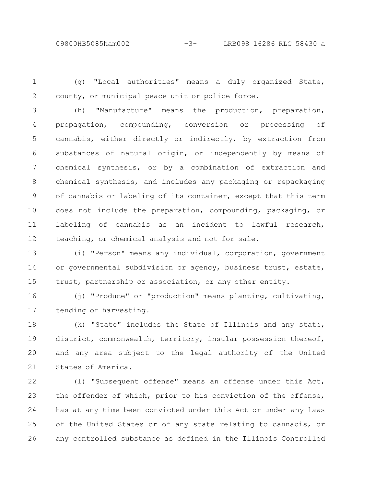1 2

(g) "Local authorities" means a duly organized State, county, or municipal peace unit or police force.

(h) "Manufacture" means the production, preparation, propagation, compounding, conversion or processing of cannabis, either directly or indirectly, by extraction from substances of natural origin, or independently by means of chemical synthesis, or by a combination of extraction and chemical synthesis, and includes any packaging or repackaging of cannabis or labeling of its container, except that this term does not include the preparation, compounding, packaging, or labeling of cannabis as an incident to lawful research, teaching, or chemical analysis and not for sale. 3 4 5 6 7 8 9 10 11 12

(i) "Person" means any individual, corporation, government or governmental subdivision or agency, business trust, estate, trust, partnership or association, or any other entity. 13 14 15

(j) "Produce" or "production" means planting, cultivating, tending or harvesting. 16 17

(k) "State" includes the State of Illinois and any state, district, commonwealth, territory, insular possession thereof, and any area subject to the legal authority of the United States of America. 18 19 20 21

(l) "Subsequent offense" means an offense under this Act, the offender of which, prior to his conviction of the offense, has at any time been convicted under this Act or under any laws of the United States or of any state relating to cannabis, or any controlled substance as defined in the Illinois Controlled 22 23 24 25 26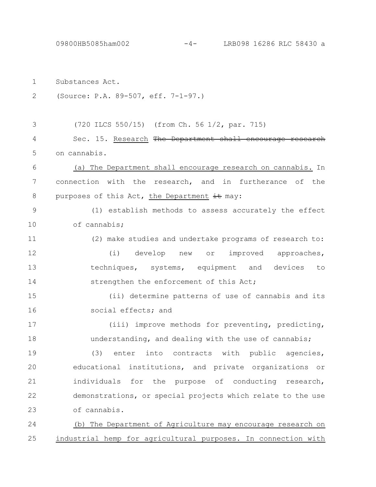09800HB5085ham002 -4- LRB098 16286 RLC 58430 a

| $\mathbf 1$   | Substances Act.                                               |
|---------------|---------------------------------------------------------------|
| $\mathbf{2}$  | (Source: P.A. 89-507, eff. 7-1-97.)                           |
|               |                                                               |
| 3             | (720 ILCS 550/15) (from Ch. 56 1/2, par. 715)                 |
| 4             | Sec. 15. Research The Department shall encourage resea        |
| 5             | on cannabis.                                                  |
| 6             | (a) The Department shall encourage research on cannabis. In   |
| 7             | connection with the research, and in furtherance of the       |
| 8             | purposes of this Act, the Department it may:                  |
| $\mathcal{G}$ | (1) establish methods to assess accurately the effect         |
| 10            | of cannabis;                                                  |
| 11            | (2) make studies and undertake programs of research to:       |
| 12            | (i) develop new or<br>improved approaches,                    |
| 13            | techniques, systems, equipment and devices<br>to              |
| 14            | strengthen the enforcement of this Act;                       |
| 15            | (ii) determine patterns of use of cannabis and its            |
| 16            | social effects; and                                           |
| 17            | (iii) improve methods for preventing, predicting,             |
| 18            | understanding, and dealing with the use of cannabis;          |
| 19            | (3)<br>enter into contracts with public agencies,             |
| 20            | educational institutions, and private organizations or        |
| 21            | individuals for the purpose of conducting research,           |
| 22            | demonstrations, or special projects which relate to the use   |
| 23            | of cannabis.                                                  |
| 24            | (b) The Department of Agriculture may encourage research on   |
| 25            | industrial hemp for agricultural purposes. In connection with |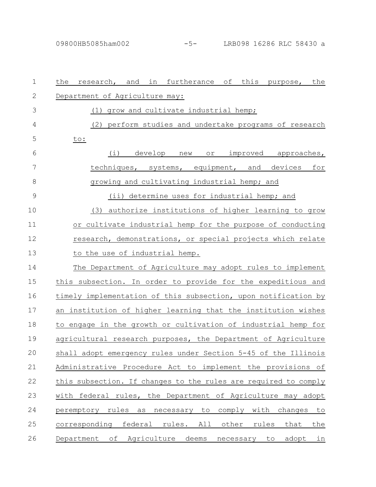| $\mathbf 1$  | research, and in furtherance of this purpose, the<br>the        |
|--------------|-----------------------------------------------------------------|
| $\mathbf{2}$ | Department of Agriculture may:                                  |
| 3            | (1) grow and cultivate industrial hemp;                         |
| 4            | (2) perform studies and undertake programs of research          |
| 5            | to:                                                             |
| 6            | (i) develop<br>or improved approaches,<br>new                   |
| 7            | techniques, systems, equipment, and devices for                 |
| 8            | growing and cultivating industrial hemp; and                    |
| 9            | (ii) determine uses for industrial hemp; and                    |
| 10           | authorize institutions of higher learning to grow<br>(3)        |
| 11           | or cultivate industrial hemp for the purpose of conducting      |
| 12           | research, demonstrations, or special projects which relate      |
| 13           | to the use of industrial hemp.                                  |
| 14           | The Department of Agriculture may adopt rules to implement      |
| 15           | this subsection. In order to provide for the expeditious and    |
| 16           | timely implementation of this subsection, upon notification by  |
| 17           | an institution of higher learning that the institution wishes   |
| 18           | to engage in the growth or cultivation of industrial hemp for   |
| 19           | agricultural research purposes, the Department of Agriculture   |
| 20           | shall adopt emergency rules under Section 5-45 of the Illinois  |
| 21           | Administrative Procedure Act to implement the provisions of     |
| 22           | this subsection. If changes to the rules are required to comply |
| 23           | with federal rules, the Department of Agriculture may adopt     |
| 24           | peremptory rules as necessary to comply with changes to         |
| 25           | corresponding federal rules. All other rules that the           |
| 26           | Department of Agriculture deems necessary to adopt in           |